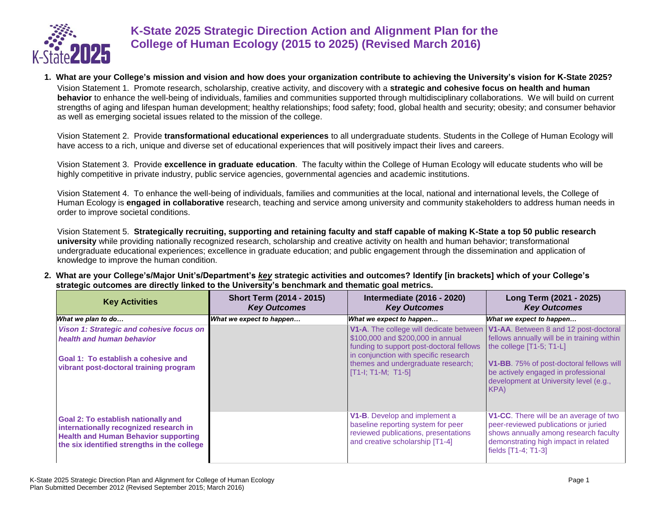

## **K-State 2025 Strategic Direction Action and Alignment Plan for the College of Human Ecology (2015 to 2025) (Revised March 2016)**

**1. What are your College's mission and vision and how does your organization contribute to achieving the University's vision for K-State 2025?** Vision Statement 1. Promote research, scholarship, creative activity, and discovery with a **strategic and cohesive focus on health and human behavior** to enhance the well-being of individuals, families and communities supported through multidisciplinary collaborations. We will build on current strengths of aging and lifespan human development; healthy relationships; food safety; food, global health and security; obesity; and consumer behavior as well as emerging societal issues related to the mission of the college.

Vision Statement 2. Provide **transformational educational experiences** to all undergraduate students. Students in the College of Human Ecology will have access to a rich, unique and diverse set of educational experiences that will positively impact their lives and careers.

Vision Statement 3. Provide **excellence in graduate education**. The faculty within the College of Human Ecology will educate students who will be highly competitive in private industry, public service agencies, governmental agencies and academic institutions.

Vision Statement 4. To enhance the well-being of individuals, families and communities at the local, national and international levels, the College of Human Ecology is **engaged in collaborative** research, teaching and service among university and community stakeholders to address human needs in order to improve societal conditions.

Vision Statement 5. **Strategically recruiting, supporting and retaining faculty and staff capable of making K-State a top 50 public research university** while providing nationally recognized research, scholarship and creative activity on health and human behavior; transformational undergraduate educational experiences; excellence in graduate education; and public engagement through the dissemination and application of knowledge to improve the human condition.

**2. What are your College's/Major Unit's/Department's** *key* **strategic activities and outcomes? Identify [in brackets] which of your College's strategic outcomes are directly linked to the University's benchmark and thematic goal metrics.**

| <b>Key Activities</b>                                                                                                                                                              | <b>Short Term (2014 - 2015)</b><br><b>Key Outcomes</b> | <b>Intermediate (2016 - 2020)</b><br><b>Key Outcomes</b>                                                                                       | Long Term (2021 - 2025)<br><b>Key Outcomes</b>                                                                                                                                                |
|------------------------------------------------------------------------------------------------------------------------------------------------------------------------------------|--------------------------------------------------------|------------------------------------------------------------------------------------------------------------------------------------------------|-----------------------------------------------------------------------------------------------------------------------------------------------------------------------------------------------|
| What we plan to do                                                                                                                                                                 | What we expect to happen                               | What we expect to happen                                                                                                                       | What we expect to happen                                                                                                                                                                      |
| Vison 1: Strategic and cohesive focus on                                                                                                                                           |                                                        | V1-A. The college will dedicate between                                                                                                        | V1-AA. Between 8 and 12 post-doctoral                                                                                                                                                         |
| health and human behavior                                                                                                                                                          |                                                        | \$100,000 and \$200,000 in annual<br>funding to support post-doctoral fellows<br>in conjunction with specific research                         | fellows annually will be in training within<br>the college [T1-5; T1-L]                                                                                                                       |
| Goal 1: To establish a cohesive and<br>vibrant post-doctoral training program                                                                                                      |                                                        | themes and undergraduate research;<br>$[T1-1; T1-M; T1-5]$                                                                                     | <b>V1-BB.</b> 75% of post-doctoral fellows will<br>be actively engaged in professional<br>development at University level (e.g.,<br>KPA)                                                      |
| <b>Goal 2: To establish nationally and</b><br>internationally recognized research in<br><b>Health and Human Behavior supporting</b><br>the six identified strengths in the college |                                                        | V1-B. Develop and implement a<br>baseline reporting system for peer<br>reviewed publications, presentations<br>and creative scholarship [T1-4] | <b>V1-CC.</b> There will be an average of two<br>peer-reviewed publications or juried<br>shows annually among research faculty<br>demonstrating high impact in related<br>fields [T1-4; T1-3] |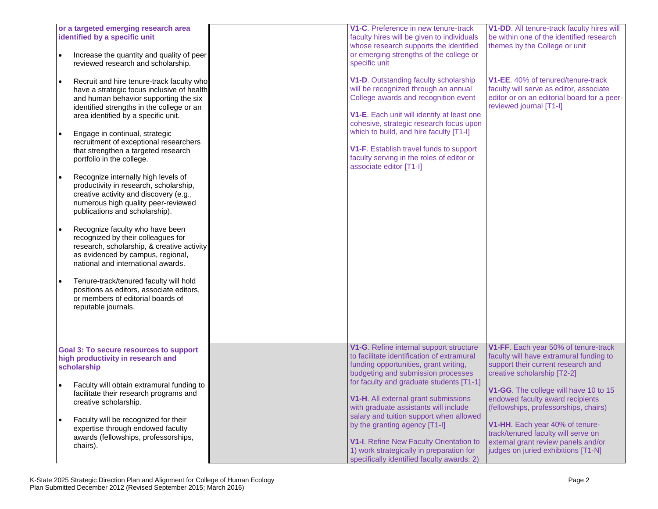| or a targeted emerging research area<br>identified by a specific unit<br>Increase the quantity and quality of peer<br>reviewed research and scholarship.<br>Recruit and hire tenure-track faculty who<br>$\bullet$<br>have a strategic focus inclusive of health<br>and human behavior supporting the six<br>identified strengths in the college or an<br>area identified by a specific unit.<br>Engage in continual, strategic<br>recruitment of exceptional researchers<br>that strengthen a targeted research<br>portfolio in the college.<br>Recognize internally high levels of<br>productivity in research, scholarship,<br>creative activity and discovery (e.g.,<br>numerous high quality peer-reviewed<br>publications and scholarship).<br>Recognize faculty who have been<br>recognized by their colleagues for<br>research, scholarship, & creative activity<br>as evidenced by campus, regional,<br>national and international awards.<br>Tenure-track/tenured faculty will hold<br>positions as editors, associate editors,<br>or members of editorial boards of<br>reputable journals. | V1-C. Preference in new tenure-track<br>faculty hires will be given to individuals<br>whose research supports the identified<br>or emerging strengths of the college or<br>specific unit<br>V1-D. Outstanding faculty scholarship<br>will be recognized through an annual<br>College awards and recognition event<br>V1-E. Each unit will identify at least one<br>cohesive, strategic research focus upon<br>which to build, and hire faculty [T1-I]<br>V1-F. Establish travel funds to support<br>faculty serving in the roles of editor or<br>associate editor [T1-I] | V1-DD. All tenure-track faculty hires will<br>be within one of the identified research<br>themes by the College or unit<br><b>V1-EE.</b> 40% of tenured/tenure-track<br>faculty will serve as editor, associate<br>editor or on an editorial board for a peer-<br>reviewed journal [T1-I] |
|-------------------------------------------------------------------------------------------------------------------------------------------------------------------------------------------------------------------------------------------------------------------------------------------------------------------------------------------------------------------------------------------------------------------------------------------------------------------------------------------------------------------------------------------------------------------------------------------------------------------------------------------------------------------------------------------------------------------------------------------------------------------------------------------------------------------------------------------------------------------------------------------------------------------------------------------------------------------------------------------------------------------------------------------------------------------------------------------------------|--------------------------------------------------------------------------------------------------------------------------------------------------------------------------------------------------------------------------------------------------------------------------------------------------------------------------------------------------------------------------------------------------------------------------------------------------------------------------------------------------------------------------------------------------------------------------|-------------------------------------------------------------------------------------------------------------------------------------------------------------------------------------------------------------------------------------------------------------------------------------------|
| <b>Goal 3: To secure resources to support</b><br>high productivity in research and<br>scholarship<br>Faculty will obtain extramural funding to                                                                                                                                                                                                                                                                                                                                                                                                                                                                                                                                                                                                                                                                                                                                                                                                                                                                                                                                                        | V1-G. Refine internal support structure<br>to facilitate identification of extramural<br>funding opportunities, grant writing,<br>budgeting and submission processes<br>for faculty and graduate students [T1-1]                                                                                                                                                                                                                                                                                                                                                         | V1-FF. Each year 50% of tenure-track<br>faculty will have extramural funding to<br>support their current research and<br>creative scholarship [T2-2]                                                                                                                                      |
| facilitate their research programs and<br>creative scholarship.<br>Faculty will be recognized for their<br>$\bullet$                                                                                                                                                                                                                                                                                                                                                                                                                                                                                                                                                                                                                                                                                                                                                                                                                                                                                                                                                                                  | V1-H. All external grant submissions<br>with graduate assistants will include<br>salary and tuition support when allowed<br>by the granting agency [T1-I]                                                                                                                                                                                                                                                                                                                                                                                                                | V1-GG. The college will have 10 to 15<br>endowed faculty award recipients<br>(fellowships, professorships, chairs)<br>V1-HH. Each year 40% of tenure-                                                                                                                                     |
| expertise through endowed faculty<br>awards (fellowships, professorships,<br>chairs).                                                                                                                                                                                                                                                                                                                                                                                                                                                                                                                                                                                                                                                                                                                                                                                                                                                                                                                                                                                                                 | V1-I. Refine New Faculty Orientation to<br>1) work strategically in preparation for<br>specifically identified faculty awards; 2)                                                                                                                                                                                                                                                                                                                                                                                                                                        | track/tenured faculty will serve on<br>external grant review panels and/or<br>judges on juried exhibitions [T1-N]                                                                                                                                                                         |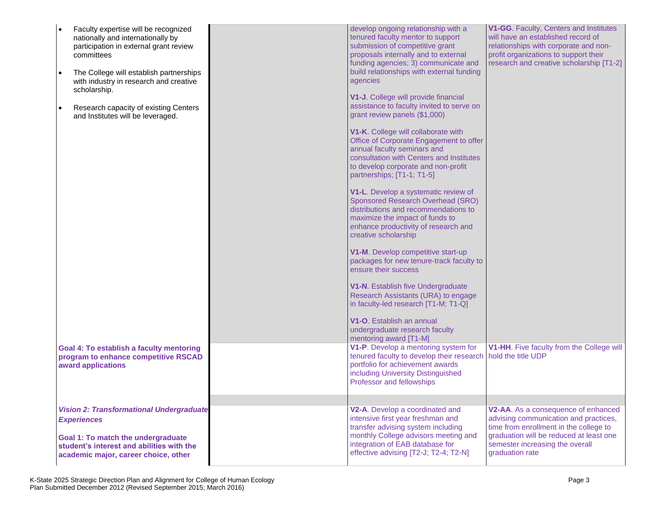| Faculty expertise will be recognized<br>nationally and internationally by<br>participation in external grant review<br>committees<br>The College will establish partnerships<br>with industry in research and creative | develop ongoing relationship with a<br>tenured faculty mentor to support<br>submission of competitive grant<br>proposals internally and to external<br>funding agencies; 3) communicate and<br>build relationships with external funding<br>agencies | V1-GG. Faculty, Centers and Institutes<br>will have an established record of<br>relationships with corporate and non-<br>profit organizations to support their<br>research and creative scholarship [T1-2] |
|------------------------------------------------------------------------------------------------------------------------------------------------------------------------------------------------------------------------|------------------------------------------------------------------------------------------------------------------------------------------------------------------------------------------------------------------------------------------------------|------------------------------------------------------------------------------------------------------------------------------------------------------------------------------------------------------------|
| scholarship.<br>Research capacity of existing Centers<br>$\bullet$<br>and Institutes will be leveraged.                                                                                                                | V1-J. College will provide financial<br>assistance to faculty invited to serve on<br>grant review panels (\$1,000)                                                                                                                                   |                                                                                                                                                                                                            |
|                                                                                                                                                                                                                        | V1-K. College will collaborate with<br>Office of Corporate Engagement to offer<br>annual faculty seminars and<br>consultation with Centers and Institutes<br>to develop corporate and non-profit<br>partnerships; [T1-1; T1-5]                       |                                                                                                                                                                                                            |
|                                                                                                                                                                                                                        | V1-L. Develop a systematic review of<br>Sponsored Research Overhead (SRO)<br>distributions and recommendations to<br>maximize the impact of funds to<br>enhance productivity of research and<br>creative scholarship                                 |                                                                                                                                                                                                            |
|                                                                                                                                                                                                                        | V1-M. Develop competitive start-up<br>packages for new tenure-track faculty to<br>ensure their success                                                                                                                                               |                                                                                                                                                                                                            |
|                                                                                                                                                                                                                        | V1-N. Establish five Undergraduate<br>Research Assistants (URA) to engage<br>in faculty-led research [T1-M; T1-Q]                                                                                                                                    |                                                                                                                                                                                                            |
|                                                                                                                                                                                                                        | V1-O. Establish an annual<br>undergraduate research faculty<br>mentoring award [T1-M]                                                                                                                                                                |                                                                                                                                                                                                            |
| <b>Goal 4: To establish a faculty mentoring</b><br>program to enhance competitive RSCAD<br>award applications                                                                                                          | V1-P. Develop a mentoring system for<br>tenured faculty to develop their research<br>portfolio for achievement awards<br>including University Distinguished<br>Professor and fellowships                                                             | V1-HH. Five faculty from the College will<br>hold the title UDP                                                                                                                                            |
| <b>Vision 2: Transformational Undergraduate</b>                                                                                                                                                                        | V2-A. Develop a coordinated and                                                                                                                                                                                                                      | V2-AA. As a consequence of enhanced                                                                                                                                                                        |
| <b>Experiences</b><br><b>Goal 1: To match the undergraduate</b><br>student's interest and abilities with the<br>academic major, career choice, other                                                                   | intensive first year freshman and<br>transfer advising system including<br>monthly College advisors meeting and<br>integration of EAB database for<br>effective advising [T2-J; T2-4; T2-N]                                                          | advising communication and practices,<br>time from enrollment in the college to<br>graduation will be reduced at least one<br>semester increasing the overall<br>graduation rate                           |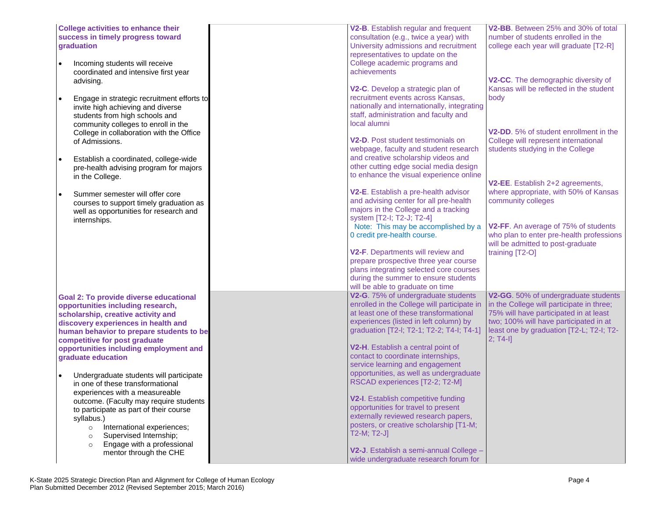| <b>College activities to enhance their</b><br>success in timely progress toward<br>graduation                                                     | V2-B. Establish regular and frequent<br>consultation (e.g., twice a year) with<br>University admissions and recruitment                                        | V2-BB. Between 25% and 30% of total<br>number of students enrolled in the<br>college each year will graduate [T2-R]                      |
|---------------------------------------------------------------------------------------------------------------------------------------------------|----------------------------------------------------------------------------------------------------------------------------------------------------------------|------------------------------------------------------------------------------------------------------------------------------------------|
| Incoming students will receive<br>coordinated and intensive first year<br>advising.                                                               | representatives to update on the<br>College academic programs and<br><b>achievements</b>                                                                       | V2-CC. The demographic diversity of                                                                                                      |
| Engage in strategic recruitment efforts to<br>invite high achieving and diverse<br>students from high schools and                                 | V2-C. Develop a strategic plan of<br>recruitment events across Kansas,<br>nationally and internationally, integrating<br>staff, administration and faculty and | Kansas will be reflected in the student<br>body                                                                                          |
| community colleges to enroll in the<br>College in collaboration with the Office<br>of Admissions.                                                 | local alumni<br><b>V2-D.</b> Post student testimonials on<br>webpage, faculty and student research                                                             | V <sub>2</sub> -DD, 5% of student enrollment in the<br>College will represent international<br>students studying in the College          |
| Establish a coordinated, college-wide<br>pre-health advising program for majors<br>in the College.                                                | and creative scholarship videos and<br>other cutting edge social media design<br>to enhance the visual experience online                                       | V2-EE. Establish 2+2 agreements,                                                                                                         |
| Summer semester will offer core<br>$\bullet$<br>courses to support timely graduation as<br>well as opportunities for research and<br>internships. | V2-E. Establish a pre-health advisor<br>and advising center for all pre-health<br>majors in the College and a tracking<br>system [T2-I; T2-J; T2-4]            | where appropriate, with 50% of Kansas<br>community colleges                                                                              |
|                                                                                                                                                   | Note: This may be accomplished by a<br>0 credit pre-health course.<br>V2-F. Departments will review and                                                        | V2-FF. An average of 75% of students<br>who plan to enter pre-health professions<br>will be admitted to post-graduate<br>training [T2-O] |
|                                                                                                                                                   | prepare prospective three year course<br>plans integrating selected core courses<br>during the summer to ensure students<br>will be able to graduate on time   |                                                                                                                                          |
|                                                                                                                                                   |                                                                                                                                                                |                                                                                                                                          |
| <b>Goal 2: To provide diverse educational</b>                                                                                                     | V2-G. 75% of undergraduate students                                                                                                                            | V2-GG. 50% of undergraduate students                                                                                                     |
| opportunities including research,                                                                                                                 | enrolled in the College will participate in                                                                                                                    | in the College will participate in three;                                                                                                |
| scholarship, creative activity and                                                                                                                | at least one of these transformational                                                                                                                         | 75% will have participated in at least                                                                                                   |
| discovery experiences in health and<br>human behavior to prepare students to be                                                                   | experiences (listed in left column) by<br>graduation [T2-I; T2-1; T2-2; T4-I; T4-1]                                                                            | two; 100% will have participated in at<br>least one by graduation [T2-L; T2-I; T2-                                                       |
| competitive for post graduate                                                                                                                     |                                                                                                                                                                | $2; T4-I]$                                                                                                                               |
| opportunities including employment and<br>graduate education                                                                                      | V2-H. Establish a central point of<br>contact to coordinate internships,                                                                                       |                                                                                                                                          |
|                                                                                                                                                   | service learning and engagement                                                                                                                                |                                                                                                                                          |
| Undergraduate students will participate<br>in one of these transformational                                                                       | opportunities, as well as undergraduate<br>RSCAD experiences [T2-2; T2-M]                                                                                      |                                                                                                                                          |
| experiences with a measureable                                                                                                                    |                                                                                                                                                                |                                                                                                                                          |
| outcome. (Faculty may require students                                                                                                            | V2-I. Establish competitive funding                                                                                                                            |                                                                                                                                          |
| to participate as part of their course                                                                                                            | opportunities for travel to present<br>externally reviewed research papers,                                                                                    |                                                                                                                                          |
| syllabus.)                                                                                                                                        | posters, or creative scholarship [T1-M;                                                                                                                        |                                                                                                                                          |
| International experiences;<br>$\circ$<br>Supervised Internship;<br>$\circ$                                                                        | $T2-M; T2-J$                                                                                                                                                   |                                                                                                                                          |
| Engage with a professional<br>$\circ$                                                                                                             |                                                                                                                                                                |                                                                                                                                          |
| mentor through the CHE                                                                                                                            | V2-J. Establish a semi-annual College -<br>wide undergraduate research forum for                                                                               |                                                                                                                                          |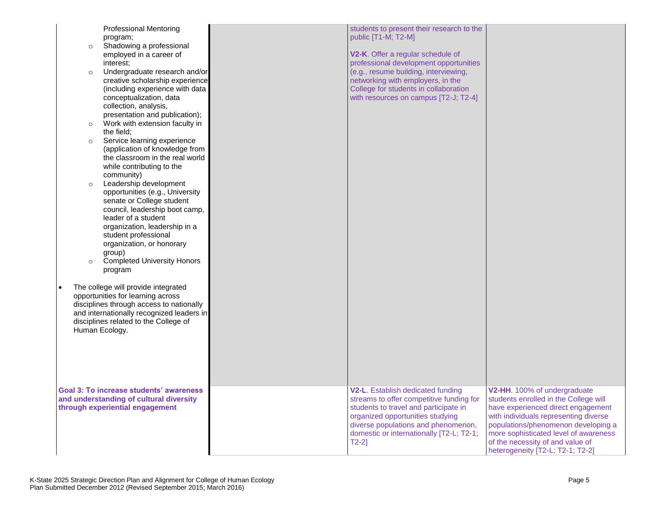|                                 | <b>Professional Mentoring</b>                                                         | students to present their research to the |                                       |
|---------------------------------|---------------------------------------------------------------------------------------|-------------------------------------------|---------------------------------------|
| program;                        |                                                                                       | public [T1-M; T2-M]                       |                                       |
| $\circ$                         | Shadowing a professional                                                              |                                           |                                       |
|                                 | employed in a career of                                                               | V2-K. Offer a regular schedule of         |                                       |
| interest:                       |                                                                                       | professional development opportunities    |                                       |
| $\circ$                         | Undergraduate research and/or                                                         | (e.g., resume building, interviewing,     |                                       |
|                                 | creative scholarship experience                                                       | networking with employers, in the         |                                       |
|                                 | (including experience with data                                                       | College for students in collaboration     |                                       |
|                                 | conceptualization, data<br>collection, analysis,                                      | with resources on campus [T2-J; T2-4]     |                                       |
|                                 | presentation and publication);                                                        |                                           |                                       |
| $\circ$                         | Work with extension faculty in                                                        |                                           |                                       |
| the field;                      |                                                                                       |                                           |                                       |
| $\circ$                         | Service learning experience                                                           |                                           |                                       |
|                                 | (application of knowledge from                                                        |                                           |                                       |
|                                 | the classroom in the real world                                                       |                                           |                                       |
|                                 | while contributing to the                                                             |                                           |                                       |
| community)                      |                                                                                       |                                           |                                       |
| $\circ$                         | Leadership development                                                                |                                           |                                       |
|                                 | opportunities (e.g., University                                                       |                                           |                                       |
|                                 | senate or College student                                                             |                                           |                                       |
|                                 | council, leadership boot camp,<br>leader of a student                                 |                                           |                                       |
|                                 | organization, leadership in a                                                         |                                           |                                       |
|                                 | student professional                                                                  |                                           |                                       |
|                                 | organization, or honorary                                                             |                                           |                                       |
| group)                          |                                                                                       |                                           |                                       |
| $\circ$                         | <b>Completed University Honors</b>                                                    |                                           |                                       |
| program                         |                                                                                       |                                           |                                       |
|                                 |                                                                                       |                                           |                                       |
|                                 | The college will provide integrated                                                   |                                           |                                       |
|                                 | opportunities for learning across                                                     |                                           |                                       |
|                                 | disciplines through access to nationally<br>and internationally recognized leaders in |                                           |                                       |
|                                 | disciplines related to the College of                                                 |                                           |                                       |
| Human Ecology.                  |                                                                                       |                                           |                                       |
|                                 |                                                                                       |                                           |                                       |
|                                 |                                                                                       |                                           |                                       |
|                                 |                                                                                       |                                           |                                       |
|                                 |                                                                                       |                                           |                                       |
|                                 |                                                                                       |                                           |                                       |
|                                 | <b>Goal 3: To increase students' awareness</b>                                        | V2-L. Establish dedicated funding         | V2-HH. 100% of undergraduate          |
|                                 | and understanding of cultural diversity                                               | streams to offer competitive funding for  | students enrolled in the College will |
| through experiential engagement |                                                                                       | students to travel and participate in     | have experienced direct engagement    |
|                                 |                                                                                       | organized opportunities studying          | with individuals representing diverse |
|                                 |                                                                                       | diverse populations and phenomenon,       | populations/phenomenon developing a   |
|                                 |                                                                                       | domestic or internationally [T2-L; T2-1;  | more sophisticated level of awareness |
|                                 |                                                                                       | $T2-2$ ]                                  | of the necessity of and value of      |
|                                 |                                                                                       |                                           | heterogeneity [T2-L; T2-1; T2-2]      |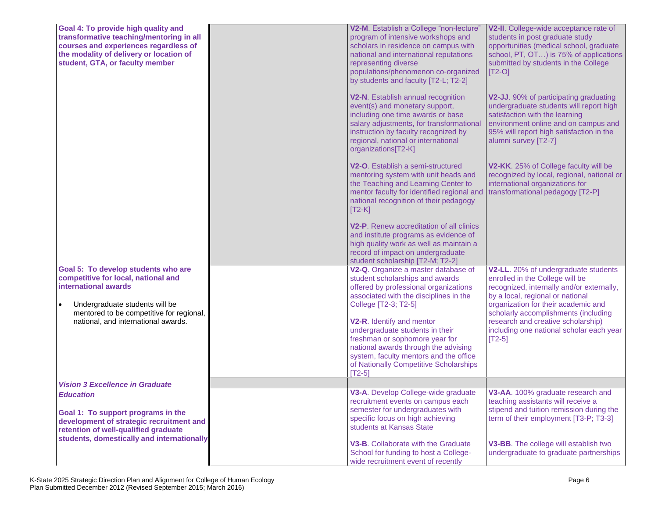| Goal 4: To provide high quality and<br>transformative teaching/mentoring in all<br>courses and experiences regardless of<br>the modality of delivery or location of<br>student, GTA, or faculty member | V2-M. Establish a College "non-lecture"<br>program of intensive workshops and<br>scholars in residence on campus with<br>national and international reputations<br>representing diverse<br>populations/phenomenon co-organized<br>by students and faculty [T2-L; T2-2] | V2-II. College-wide acceptance rate of<br>students in post graduate study<br>opportunities (medical school, graduate<br>school, PT, OT) is 75% of applications<br>submitted by students in the College<br>$[T2-O]$              |
|--------------------------------------------------------------------------------------------------------------------------------------------------------------------------------------------------------|------------------------------------------------------------------------------------------------------------------------------------------------------------------------------------------------------------------------------------------------------------------------|---------------------------------------------------------------------------------------------------------------------------------------------------------------------------------------------------------------------------------|
|                                                                                                                                                                                                        | V2-N. Establish annual recognition<br>event(s) and monetary support,<br>including one time awards or base<br>salary adjustments, for transformational<br>instruction by faculty recognized by<br>regional, national or international<br>organizations[T2-K]            | V2-JJ. 90% of participating graduating<br>undergraduate students will report high<br>satisfaction with the learning<br>environment online and on campus and<br>95% will report high satisfaction in the<br>alumni survey [T2-7] |
|                                                                                                                                                                                                        | V2-O. Establish a semi-structured<br>mentoring system with unit heads and<br>the Teaching and Learning Center to<br>mentor faculty for identified regional and<br>national recognition of their pedagogy<br>$[T2-K]$                                                   | V2-KK. 25% of College faculty will be<br>recognized by local, regional, national or<br>international organizations for<br>transformational pedagogy [T2-P]                                                                      |
|                                                                                                                                                                                                        | V2-P. Renew accreditation of all clinics<br>and institute programs as evidence of<br>high quality work as well as maintain a<br>record of impact on undergraduate<br>student scholarship [T2-M; T2-2]                                                                  |                                                                                                                                                                                                                                 |
| Goal 5: To develop students who are<br>competitive for local, national and<br>international awards                                                                                                     | V2-Q. Organize a master database of<br>student scholarships and awards<br>offered by professional organizations<br>associated with the disciplines in the                                                                                                              | V2-LL. 20% of undergraduate students<br>enrolled in the College will be<br>recognized, internally and/or externally,<br>by a local, regional or national                                                                        |
| Undergraduate students will be<br>$\bullet$<br>mentored to be competitive for regional,<br>national, and international awards.                                                                         | College [T2-3; T2-5]<br>V2-R. Identify and mentor<br>undergraduate students in their<br>freshman or sophomore year for<br>national awards through the advising<br>system, faculty mentors and the office<br>of Nationally Competitive Scholarships<br>$[T2-5]$         | organization for their academic and<br>scholarly accomplishments (including<br>research and creative scholarship)<br>including one national scholar each year<br>$[T2-5]$                                                       |
| <b>Vision 3 Excellence in Graduate</b>                                                                                                                                                                 |                                                                                                                                                                                                                                                                        |                                                                                                                                                                                                                                 |
| <b>Education</b><br>Goal 1: To support programs in the<br>development of strategic recruitment and<br>retention of well-qualified graduate                                                             | V3-A. Develop College-wide graduate<br>recruitment events on campus each<br>semester for undergraduates with<br>specific focus on high achieving<br>students at Kansas State                                                                                           | V3-AA. 100% graduate research and<br>teaching assistants will receive a<br>stipend and tuition remission during the<br>term of their employment [T3-P; T3-3]                                                                    |
| students, domestically and internationally                                                                                                                                                             | V3-B. Collaborate with the Graduate<br>School for funding to host a College-<br>wide recruitment event of recently                                                                                                                                                     | V3-BB. The college will establish two<br>undergraduate to graduate partnerships                                                                                                                                                 |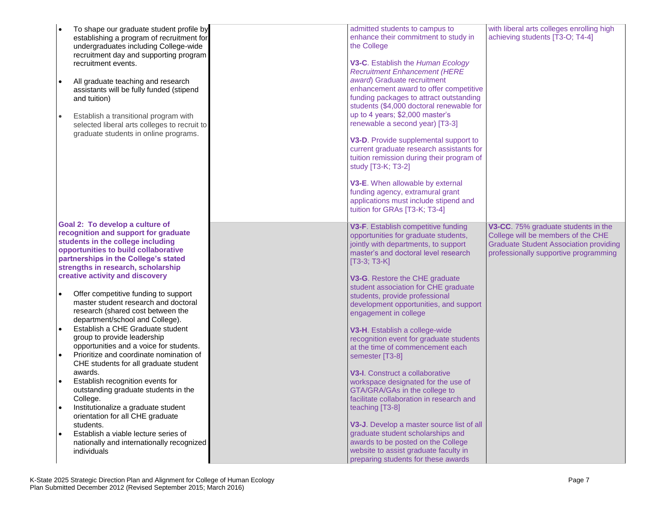| $\bullet$ | To shape our graduate student profile by<br>establishing a program of recruitment for<br>undergraduates including College-wide<br>recruitment day and supporting program<br>recruitment events.<br>All graduate teaching and research<br>assistants will be fully funded (stipend<br>and tuition)<br>Establish a transitional program with<br>selected liberal arts colleges to recruit to<br>graduate students in online programs. | admitted students to campus to<br>enhance their commitment to study in<br>the College<br>V3-C. Establish the Human Ecology<br><b>Recruitment Enhancement (HERE</b><br>award) Graduate recruitment<br>enhancement award to offer competitive<br>funding packages to attract outstanding<br>students (\$4,000 doctoral renewable for<br>up to 4 years; \$2,000 master's<br>renewable a second year) [T3-3]<br>V3-D. Provide supplemental support to<br>current graduate research assistants for<br>tuition remission during their program of<br>study [T3-K; T3-2]<br>V3-E. When allowable by external<br>funding agency, extramural grant<br>applications must include stipend and<br>tuition for GRAs [T3-K; T3-4] | with liberal arts colleges enrolling high<br>achieving students [T3-O; T4-4] |
|-----------|-------------------------------------------------------------------------------------------------------------------------------------------------------------------------------------------------------------------------------------------------------------------------------------------------------------------------------------------------------------------------------------------------------------------------------------|--------------------------------------------------------------------------------------------------------------------------------------------------------------------------------------------------------------------------------------------------------------------------------------------------------------------------------------------------------------------------------------------------------------------------------------------------------------------------------------------------------------------------------------------------------------------------------------------------------------------------------------------------------------------------------------------------------------------|------------------------------------------------------------------------------|
|           | Goal 2: To develop a culture of                                                                                                                                                                                                                                                                                                                                                                                                     |                                                                                                                                                                                                                                                                                                                                                                                                                                                                                                                                                                                                                                                                                                                    |                                                                              |
|           | recognition and support for graduate                                                                                                                                                                                                                                                                                                                                                                                                | V3-F. Establish competitive funding                                                                                                                                                                                                                                                                                                                                                                                                                                                                                                                                                                                                                                                                                | V3-CC. 75% graduate students in the                                          |
|           | students in the college including                                                                                                                                                                                                                                                                                                                                                                                                   | opportunities for graduate students,                                                                                                                                                                                                                                                                                                                                                                                                                                                                                                                                                                                                                                                                               | College will be members of the CHE                                           |
|           | opportunities to build collaborative                                                                                                                                                                                                                                                                                                                                                                                                | jointly with departments, to support                                                                                                                                                                                                                                                                                                                                                                                                                                                                                                                                                                                                                                                                               | <b>Graduate Student Association providing</b>                                |
|           | partnerships in the College's stated                                                                                                                                                                                                                                                                                                                                                                                                | master's and doctoral level research                                                                                                                                                                                                                                                                                                                                                                                                                                                                                                                                                                                                                                                                               | professionally supportive programming                                        |
|           | strengths in research, scholarship                                                                                                                                                                                                                                                                                                                                                                                                  | $[T3-3; T3-K]$                                                                                                                                                                                                                                                                                                                                                                                                                                                                                                                                                                                                                                                                                                     |                                                                              |
|           | creative activity and discovery                                                                                                                                                                                                                                                                                                                                                                                                     | V3-G. Restore the CHE graduate                                                                                                                                                                                                                                                                                                                                                                                                                                                                                                                                                                                                                                                                                     |                                                                              |
|           |                                                                                                                                                                                                                                                                                                                                                                                                                                     | student association for CHE graduate                                                                                                                                                                                                                                                                                                                                                                                                                                                                                                                                                                                                                                                                               |                                                                              |
| $\bullet$ | Offer competitive funding to support                                                                                                                                                                                                                                                                                                                                                                                                | students, provide professional                                                                                                                                                                                                                                                                                                                                                                                                                                                                                                                                                                                                                                                                                     |                                                                              |
|           | master student research and doctoral                                                                                                                                                                                                                                                                                                                                                                                                | development opportunities, and support                                                                                                                                                                                                                                                                                                                                                                                                                                                                                                                                                                                                                                                                             |                                                                              |
|           | research (shared cost between the                                                                                                                                                                                                                                                                                                                                                                                                   | engagement in college                                                                                                                                                                                                                                                                                                                                                                                                                                                                                                                                                                                                                                                                                              |                                                                              |
|           | department/school and College).                                                                                                                                                                                                                                                                                                                                                                                                     |                                                                                                                                                                                                                                                                                                                                                                                                                                                                                                                                                                                                                                                                                                                    |                                                                              |
| $\bullet$ | Establish a CHE Graduate student                                                                                                                                                                                                                                                                                                                                                                                                    | V3-H. Establish a college-wide                                                                                                                                                                                                                                                                                                                                                                                                                                                                                                                                                                                                                                                                                     |                                                                              |
|           | group to provide leadership                                                                                                                                                                                                                                                                                                                                                                                                         | recognition event for graduate students                                                                                                                                                                                                                                                                                                                                                                                                                                                                                                                                                                                                                                                                            |                                                                              |
|           | opportunities and a voice for students.                                                                                                                                                                                                                                                                                                                                                                                             | at the time of commencement each                                                                                                                                                                                                                                                                                                                                                                                                                                                                                                                                                                                                                                                                                   |                                                                              |
| $\bullet$ | Prioritize and coordinate nomination of                                                                                                                                                                                                                                                                                                                                                                                             | semester [T3-8]                                                                                                                                                                                                                                                                                                                                                                                                                                                                                                                                                                                                                                                                                                    |                                                                              |
|           | CHE students for all graduate student                                                                                                                                                                                                                                                                                                                                                                                               |                                                                                                                                                                                                                                                                                                                                                                                                                                                                                                                                                                                                                                                                                                                    |                                                                              |
|           | awards.                                                                                                                                                                                                                                                                                                                                                                                                                             | V3-I. Construct a collaborative                                                                                                                                                                                                                                                                                                                                                                                                                                                                                                                                                                                                                                                                                    |                                                                              |
|           | Establish recognition events for                                                                                                                                                                                                                                                                                                                                                                                                    | workspace designated for the use of                                                                                                                                                                                                                                                                                                                                                                                                                                                                                                                                                                                                                                                                                |                                                                              |
|           | outstanding graduate students in the                                                                                                                                                                                                                                                                                                                                                                                                | GTA/GRA/GAs in the college to                                                                                                                                                                                                                                                                                                                                                                                                                                                                                                                                                                                                                                                                                      |                                                                              |
|           | College.                                                                                                                                                                                                                                                                                                                                                                                                                            | facilitate collaboration in research and                                                                                                                                                                                                                                                                                                                                                                                                                                                                                                                                                                                                                                                                           |                                                                              |
| $\bullet$ | Institutionalize a graduate student                                                                                                                                                                                                                                                                                                                                                                                                 | teaching [T3-8]                                                                                                                                                                                                                                                                                                                                                                                                                                                                                                                                                                                                                                                                                                    |                                                                              |
|           | orientation for all CHE graduate                                                                                                                                                                                                                                                                                                                                                                                                    |                                                                                                                                                                                                                                                                                                                                                                                                                                                                                                                                                                                                                                                                                                                    |                                                                              |
|           | students.                                                                                                                                                                                                                                                                                                                                                                                                                           | V3-J. Develop a master source list of all                                                                                                                                                                                                                                                                                                                                                                                                                                                                                                                                                                                                                                                                          |                                                                              |
| $\bullet$ | Establish a viable lecture series of                                                                                                                                                                                                                                                                                                                                                                                                | graduate student scholarships and                                                                                                                                                                                                                                                                                                                                                                                                                                                                                                                                                                                                                                                                                  |                                                                              |
|           | nationally and internationally recognized                                                                                                                                                                                                                                                                                                                                                                                           | awards to be posted on the College                                                                                                                                                                                                                                                                                                                                                                                                                                                                                                                                                                                                                                                                                 |                                                                              |
|           | individuals                                                                                                                                                                                                                                                                                                                                                                                                                         | website to assist graduate faculty in                                                                                                                                                                                                                                                                                                                                                                                                                                                                                                                                                                                                                                                                              |                                                                              |
|           |                                                                                                                                                                                                                                                                                                                                                                                                                                     | preparing students for these awards                                                                                                                                                                                                                                                                                                                                                                                                                                                                                                                                                                                                                                                                                |                                                                              |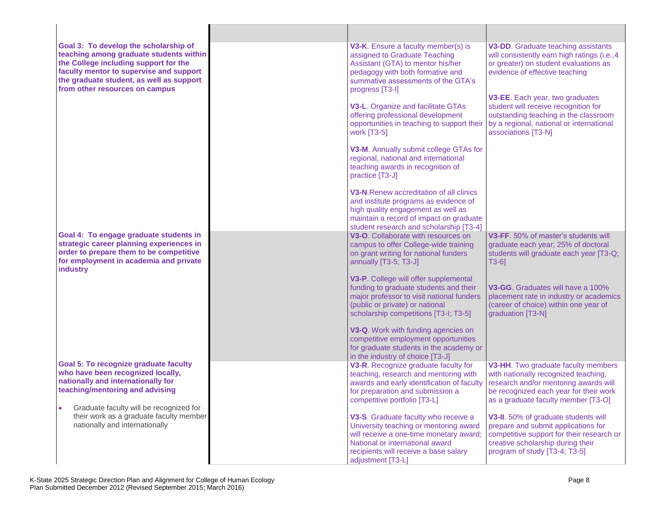| Goal 3: To develop the scholarship of<br>teaching among graduate students within<br>the College including support for the<br>faculty mentor to supervise and support<br>the graduate student, as well as support<br>from other resources on campus | V3-K. Ensure a faculty member(s) is<br>assigned to Graduate Teaching<br>Assistant (GTA) to mentor his/her<br>pedagogy with both formative and<br>summative assessments of the GTA's<br>progress [T3-I]<br>V3-L. Organize and facilitate GTAs<br>offering professional development<br>opportunities in teaching to support their<br>work [T3-5]          | V3-DD. Graduate teaching assistants<br>will consistently earn high ratings (i.e., 4<br>or greater) on student evaluations as<br>evidence of effective teaching<br>V3-EE. Each year, two graduates<br>student will receive recognition for<br>outstanding teaching in the classroom<br>by a regional, national or international<br>associations [T3-N] |
|----------------------------------------------------------------------------------------------------------------------------------------------------------------------------------------------------------------------------------------------------|---------------------------------------------------------------------------------------------------------------------------------------------------------------------------------------------------------------------------------------------------------------------------------------------------------------------------------------------------------|-------------------------------------------------------------------------------------------------------------------------------------------------------------------------------------------------------------------------------------------------------------------------------------------------------------------------------------------------------|
|                                                                                                                                                                                                                                                    | V3-M. Annually submit college GTAs for<br>regional, national and international<br>teaching awards in recognition of<br>practice [T3-J]<br>V3-N. Renew accreditation of all clinics<br>and institute programs as evidence of<br>high quality engagement as well as<br>maintain a record of impact on graduate<br>student research and scholarship [T3-4] |                                                                                                                                                                                                                                                                                                                                                       |
| Goal 4: To engage graduate students in<br>strategic career planning experiences in<br>order to prepare them to be competitive<br>for employment in academia and private<br>industry                                                                | V3-O. Collaborate with resources on<br>campus to offer College-wide training<br>on grant writing for national funders<br>annually [T3-5; T3-J]<br>V3-P. College will offer supplemental                                                                                                                                                                 | V3-FF, 50% of master's students will<br>graduate each year; 25% of doctoral<br>students will graduate each year [T3-Q;<br>T3-61                                                                                                                                                                                                                       |
|                                                                                                                                                                                                                                                    | funding to graduate students and their<br>major professor to visit national funders<br>(public or private) or national<br>scholarship competitions [T3-I; T3-5]<br>V3-Q. Work with funding agencies on<br>competitive employment opportunities                                                                                                          | V3-GG. Graduates will have a 100%<br>placement rate in industry or academics<br>(career of choice) within one year of<br>graduation [T3-N]                                                                                                                                                                                                            |
|                                                                                                                                                                                                                                                    | for graduate students in the academy or<br>in the industry of choice [T3-J]                                                                                                                                                                                                                                                                             |                                                                                                                                                                                                                                                                                                                                                       |
| Goal 5: To recognize graduate faculty<br>who have been recognized locally,<br>nationally and internationally for<br>teaching/mentoring and advising                                                                                                | V3-R. Recognize graduate faculty for<br>teaching, research and mentoring with<br>awards and early identification of faculty<br>for preparation and submission a<br>competitive portfolio [T3-L]                                                                                                                                                         | V3-HH. Two graduate faculty members<br>with nationally recognized teaching,<br>research and/or mentoring awards will<br>be recognized each year for their work<br>as a graduate faculty member [T3-O]                                                                                                                                                 |
| Graduate faculty will be recognized for<br>their work as a graduate faculty member<br>nationally and internationally                                                                                                                               | V3-S. Graduate faculty who receive a<br>University teaching or mentoring award<br>will receive a one-time monetary award;<br>National or international award<br>recipients will receive a base salary<br>adjustment [T3-L]                                                                                                                              | V3-II. 50% of graduate students will<br>prepare and submit applications for<br>competitive support for their research or<br>creative scholarship during their<br>program of study [T3-4; T3-5]                                                                                                                                                        |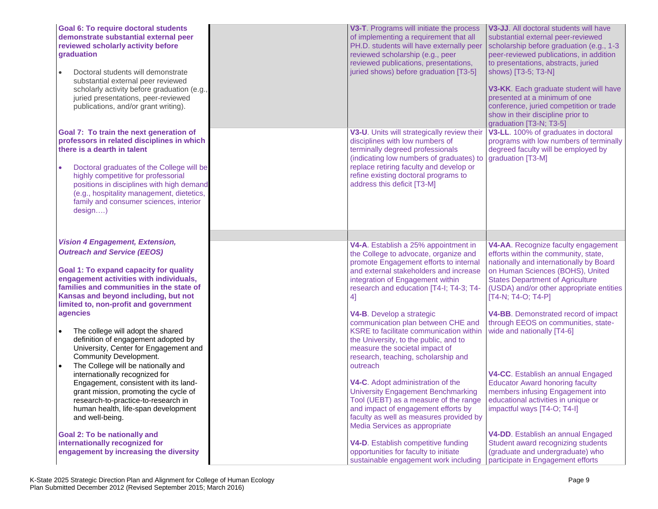| <b>Goal 6: To require doctoral students</b><br>demonstrate substantial external peer<br>reviewed scholarly activity before<br>graduation<br>Doctoral students will demonstrate<br>substantial external peer reviewed<br>scholarly activity before graduation (e.g.<br>juried presentations, peer-reviewed<br>publications, and/or grant writing).       | V3-T. Programs will initiate the process<br>of implementing a requirement that all<br>PH.D. students will have externally peer<br>reviewed scholarship (e.g., peer<br>reviewed publications, presentations,<br>juried shows) before graduation [T3-5]                                                                     | V3-JJ. All doctoral students will have<br>substantial external peer-reviewed<br>scholarship before graduation (e.g., 1-3<br>peer-reviewed publications, in addition<br>to presentations, abstracts, juried<br>shows) [T3-5; T3-N]<br>V3-KK. Each graduate student will have<br>presented at a minimum of one<br>conference, juried competition or trade<br>show in their discipline prior to |
|---------------------------------------------------------------------------------------------------------------------------------------------------------------------------------------------------------------------------------------------------------------------------------------------------------------------------------------------------------|---------------------------------------------------------------------------------------------------------------------------------------------------------------------------------------------------------------------------------------------------------------------------------------------------------------------------|----------------------------------------------------------------------------------------------------------------------------------------------------------------------------------------------------------------------------------------------------------------------------------------------------------------------------------------------------------------------------------------------|
| Goal 7: To train the next generation of<br>professors in related disciplines in which<br>there is a dearth in talent<br>Doctoral graduates of the College will be<br>highly competitive for professorial<br>positions in disciplines with high demand<br>(e.g., hospitality management, dietetics,<br>family and consumer sciences, interior<br>design) | V3-U. Units will strategically review their<br>disciplines with low numbers of<br>terminally degreed professionals<br>(indicating low numbers of graduates) to<br>replace retiring faculty and develop or<br>refine existing doctoral programs to<br>address this deficit [T3-M]                                          | graduation [T3-N; T3-5]<br>V3-LL. 100% of graduates in doctoral<br>programs with low numbers of terminally<br>degreed faculty will be employed by<br>graduation [T3-M]                                                                                                                                                                                                                       |
| <b>Vision 4 Engagement, Extension,</b>                                                                                                                                                                                                                                                                                                                  |                                                                                                                                                                                                                                                                                                                           |                                                                                                                                                                                                                                                                                                                                                                                              |
| <b>Outreach and Service (EEOS)</b><br><b>Goal 1: To expand capacity for quality</b><br>engagement activities with individuals,<br>families and communities in the state of<br>Kansas and beyond including, but not<br>limited to, non-profit and government<br>agencies                                                                                 | V4-A. Establish a 25% appointment in<br>the College to advocate, organize and<br>promote Engagement efforts to internal<br>and external stakeholders and increase<br>integration of Engagement within<br>research and education [T4-I; T4-3; T4-<br>4]<br>V4-B. Develop a strategic<br>communication plan between CHE and | V4-AA. Recognize faculty engagement<br>efforts within the community, state,<br>nationally and internationally by Board<br>on Human Sciences (BOHS), United<br><b>States Department of Agriculture</b><br>(USDA) and/or other appropriate entities<br>$[T4-N; T4-O; T4-P]$<br>V4-BB. Demonstrated record of impact<br>through EEOS on communities, state-                                     |
| The college will adopt the shared<br>$\bullet$<br>definition of engagement adopted by<br>University, Center for Engagement and<br>Community Development.<br>The College will be nationally and<br>$\bullet$                                                                                                                                             | KSRE to facilitate communication within<br>the University, to the public, and to<br>measure the societal impact of<br>research, teaching, scholarship and<br>outreach                                                                                                                                                     | wide and nationally [T4-6]                                                                                                                                                                                                                                                                                                                                                                   |
| internationally recognized for<br>Engagement, consistent with its land-<br>grant mission, promoting the cycle of<br>research-to-practice-to-research in<br>human health, life-span development<br>and well-being.                                                                                                                                       | V4-C. Adopt administration of the<br><b>University Engagement Benchmarking</b><br>Tool (UEBT) as a measure of the range<br>and impact of engagement efforts by<br>faculty as well as measures provided by<br>Media Services as appropriate                                                                                | V4-CC. Establish an annual Engaged<br><b>Educator Award honoring faculty</b><br>members infusing Engagement into<br>educational activities in unique or<br>impactful ways [T4-O; T4-I]                                                                                                                                                                                                       |
| <b>Goal 2: To be nationally and</b><br>internationally recognized for<br>engagement by increasing the diversity                                                                                                                                                                                                                                         | V4-D. Establish competitive funding<br>opportunities for faculty to initiate<br>sustainable engagement work including                                                                                                                                                                                                     | V4-DD. Establish an annual Engaged<br>Student award recognizing students<br>(graduate and undergraduate) who<br>participate in Engagement efforts                                                                                                                                                                                                                                            |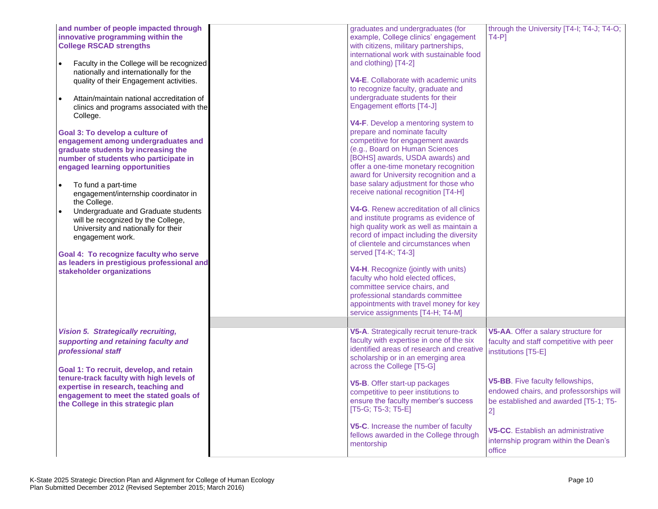| and number of people impacted through<br>innovative programming within the<br><b>College RSCAD strengths</b><br>Faculty in the College will be recognized<br>nationally and internationally for the<br>quality of their Engagement activities.<br>Attain/maintain national accreditation of<br>$\bullet$<br>clinics and programs associated with the<br>College.<br>Goal 3: To develop a culture of<br>engagement among undergraduates and<br>graduate students by increasing the<br>number of students who participate in<br>engaged learning opportunities<br>To fund a part-time<br>$\bullet$<br>engagement/internship coordinator in<br>the College.<br>Undergraduate and Graduate students<br>$\bullet$<br>will be recognized by the College,<br>University and nationally for their<br>engagement work.<br>Goal 4: To recognize faculty who serve<br>as leaders in prestigious professional and<br>stakeholder organizations | graduates and undergraduates (for<br>example, College clinics' engagement<br>with citizens, military partnerships,<br>international work with sustainable food<br>and clothing) [T4-2]<br><b>V4-E.</b> Collaborate with academic units<br>to recognize faculty, graduate and<br>undergraduate students for their<br>Engagement efforts [T4-J]<br>V4-F. Develop a mentoring system to<br>prepare and nominate faculty<br>competitive for engagement awards<br>(e.g., Board on Human Sciences<br>[BOHS] awards, USDA awards) and<br>offer a one-time monetary recognition<br>award for University recognition and a<br>base salary adjustment for those who<br>receive national recognition [T4-H]<br>V4-G. Renew accreditation of all clinics<br>and institute programs as evidence of<br>high quality work as well as maintain a<br>record of impact including the diversity<br>of clientele and circumstances when<br>served [T4-K; T4-3]<br><b>V4-H.</b> Recognize (jointly with units)<br>faculty who hold elected offices,<br>committee service chairs, and<br>professional standards committee<br>appointments with travel money for key<br>service assignments [T4-H; T4-M] | through the University [T4-I; T4-J; T4-O;<br>$T4-P$ ]                                                                                                                                                                                                                                                                       |
|------------------------------------------------------------------------------------------------------------------------------------------------------------------------------------------------------------------------------------------------------------------------------------------------------------------------------------------------------------------------------------------------------------------------------------------------------------------------------------------------------------------------------------------------------------------------------------------------------------------------------------------------------------------------------------------------------------------------------------------------------------------------------------------------------------------------------------------------------------------------------------------------------------------------------------|-----------------------------------------------------------------------------------------------------------------------------------------------------------------------------------------------------------------------------------------------------------------------------------------------------------------------------------------------------------------------------------------------------------------------------------------------------------------------------------------------------------------------------------------------------------------------------------------------------------------------------------------------------------------------------------------------------------------------------------------------------------------------------------------------------------------------------------------------------------------------------------------------------------------------------------------------------------------------------------------------------------------------------------------------------------------------------------------------------------------------------------------------------------------------------------|-----------------------------------------------------------------------------------------------------------------------------------------------------------------------------------------------------------------------------------------------------------------------------------------------------------------------------|
| <b>Vision 5. Strategically recruiting,</b><br>supporting and retaining faculty and<br>professional staff<br>Goal 1: To recruit, develop, and retain<br>tenure-track faculty with high levels of<br>expertise in research, teaching and<br>engagement to meet the stated goals of<br>the College in this strategic plan                                                                                                                                                                                                                                                                                                                                                                                                                                                                                                                                                                                                             | V5-A. Strategically recruit tenure-track<br>faculty with expertise in one of the six<br>identified areas of research and creative<br>scholarship or in an emerging area<br>across the College [T5-G]<br>V5-B. Offer start-up packages<br>competitive to peer institutions to<br>ensure the faculty member's success<br>$[T5-G; T5-3; T5-E]$<br>V5-C. Increase the number of faculty<br>fellows awarded in the College through<br>mentorship                                                                                                                                                                                                                                                                                                                                                                                                                                                                                                                                                                                                                                                                                                                                       | V5-AA. Offer a salary structure for<br>faculty and staff competitive with peer<br>institutions [T5-E]<br>V5-BB. Five faculty fellowships,<br>endowed chairs, and professorships will<br>be established and awarded [T5-1; T5-<br>2]<br>V5-CC. Establish an administrative<br>internship program within the Dean's<br>office |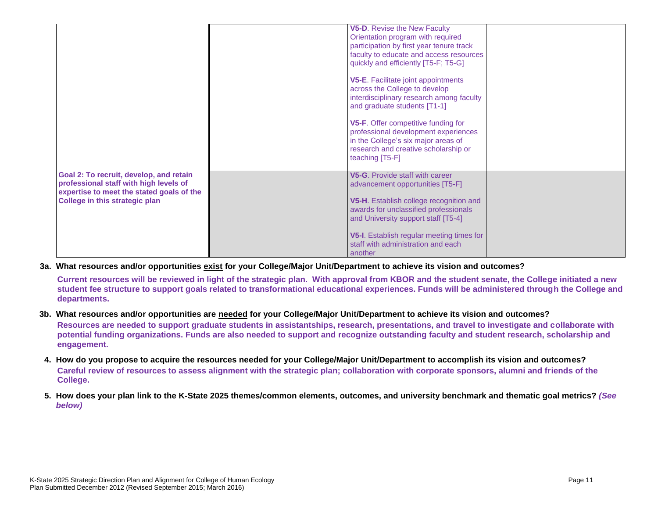|                                                                                                                                                                  | V5-D. Revise the New Faculty<br>Orientation program with required<br>participation by first year tenure track<br>faculty to educate and access resources<br>quickly and efficiently [T5-F; T5-G] |  |
|------------------------------------------------------------------------------------------------------------------------------------------------------------------|--------------------------------------------------------------------------------------------------------------------------------------------------------------------------------------------------|--|
|                                                                                                                                                                  | <b>V5-E.</b> Facilitate joint appointments<br>across the College to develop<br>interdisciplinary research among faculty<br>and graduate students [T1-1]                                          |  |
|                                                                                                                                                                  | V5-F. Offer competitive funding for<br>professional development experiences<br>in the College's six major areas of<br>research and creative scholarship or<br>teaching [T5-F]                    |  |
| Goal 2: To recruit, develop, and retain<br>professional staff with high levels of<br>expertise to meet the stated goals of the<br>College in this strategic plan | V5-G. Provide staff with career<br>advancement opportunities [T5-F]<br>V5-H. Establish college recognition and<br>awards for unclassified professionals<br>and University support staff [T5-4]   |  |
|                                                                                                                                                                  | V5-I. Establish regular meeting times for<br>staff with administration and each<br>another                                                                                                       |  |

## **3a. What resources and/or opportunities exist for your College/Major Unit/Department to achieve its vision and outcomes?**

**Current resources will be reviewed in light of the strategic plan. With approval from KBOR and the student senate, the College initiated a new student fee structure to support goals related to transformational educational experiences. Funds will be administered through the College and departments.**

**3b. What resources and/or opportunities are needed for your College/Major Unit/Department to achieve its vision and outcomes?**

**Resources are needed to support graduate students in assistantships, research, presentations, and travel to investigate and collaborate with potential funding organizations. Funds are also needed to support and recognize outstanding faculty and student research, scholarship and engagement.**

- **4. How do you propose to acquire the resources needed for your College/Major Unit/Department to accomplish its vision and outcomes? Careful review of resources to assess alignment with the strategic plan; collaboration with corporate sponsors, alumni and friends of the College.**
- **5. How does your plan link to the K-State 2025 themes/common elements, outcomes, and university benchmark and thematic goal metrics?** *(See below)*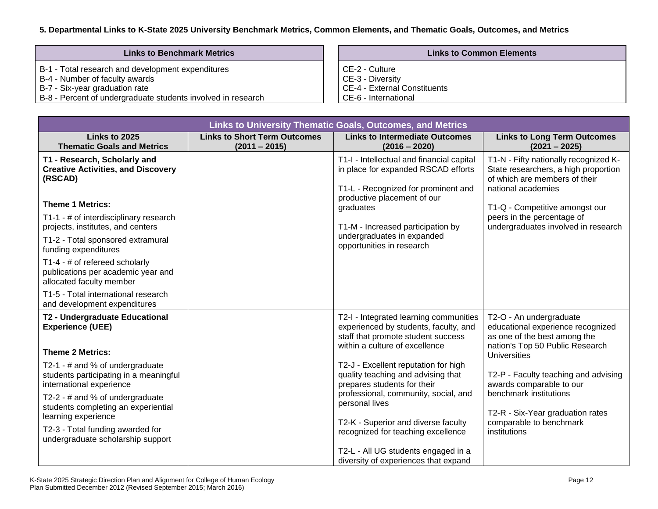## **5. Departmental Links to K-State 2025 University Benchmark Metrics, Common Elements, and Thematic Goals, Outcomes, and Metrics**

| <b>Links to Benchmark Metrics</b>                            | <b>Links to Common Elements</b> |
|--------------------------------------------------------------|---------------------------------|
| B-1 - Total research and development expenditures            | l CE-2 - Culture                |
| B-4 - Number of faculty awards                               | CE-3 - Diversity                |
| B-7 - Six-year graduation rate                               | CE-4 - External Constituents    |
| B-8 - Percent of undergraduate students involved in research | CE-6 - International            |

| <b>Links to University Thematic Goals, Outcomes, and Metrics</b>                                      |                                                        |                                                                                                                                                         |                                                                                                                                      |  |  |
|-------------------------------------------------------------------------------------------------------|--------------------------------------------------------|---------------------------------------------------------------------------------------------------------------------------------------------------------|--------------------------------------------------------------------------------------------------------------------------------------|--|--|
| Links to 2025<br><b>Thematic Goals and Metrics</b>                                                    | <b>Links to Short Term Outcomes</b><br>$(2011 - 2015)$ | <b>Links to Intermediate Outcomes</b><br>$(2016 - 2020)$                                                                                                | <b>Links to Long Term Outcomes</b><br>$(2021 - 2025)$                                                                                |  |  |
| T1 - Research, Scholarly and<br><b>Creative Activities, and Discovery</b><br>(RSCAD)                  |                                                        | T1-I - Intellectual and financial capital<br>in place for expanded RSCAD efforts<br>T1-L - Recognized for prominent and<br>productive placement of our  | T1-N - Fifty nationally recognized K-<br>State researchers, a high proportion<br>of which are members of their<br>national academies |  |  |
| <b>Theme 1 Metrics:</b>                                                                               |                                                        | graduates                                                                                                                                               | T1-Q - Competitive amongst our                                                                                                       |  |  |
| T1-1 - # of interdisciplinary research<br>projects, institutes, and centers                           |                                                        | T1-M - Increased participation by                                                                                                                       | peers in the percentage of<br>undergraduates involved in research                                                                    |  |  |
| T1-2 - Total sponsored extramural<br>funding expenditures                                             |                                                        | undergraduates in expanded<br>opportunities in research                                                                                                 |                                                                                                                                      |  |  |
| T1-4 - # of refereed scholarly<br>publications per academic year and<br>allocated faculty member      |                                                        |                                                                                                                                                         |                                                                                                                                      |  |  |
| T1-5 - Total international research<br>and development expenditures                                   |                                                        |                                                                                                                                                         |                                                                                                                                      |  |  |
| T2 - Undergraduate Educational<br><b>Experience (UEE)</b><br><b>Theme 2 Metrics:</b>                  |                                                        | T2-I - Integrated learning communities<br>experienced by students, faculty, and<br>staff that promote student success<br>within a culture of excellence | T2-O - An undergraduate<br>educational experience recognized<br>as one of the best among the<br>nation's Top 50 Public Research      |  |  |
|                                                                                                       |                                                        | T2-J - Excellent reputation for high                                                                                                                    | <b>Universities</b>                                                                                                                  |  |  |
| T2-1 - # and % of undergraduate<br>students participating in a meaningful<br>international experience |                                                        | quality teaching and advising that<br>prepares students for their                                                                                       | T2-P - Faculty teaching and advising<br>awards comparable to our                                                                     |  |  |
| T2-2 - # and % of undergraduate<br>students completing an experiential                                |                                                        | professional, community, social, and<br>personal lives                                                                                                  | benchmark institutions                                                                                                               |  |  |
| learning experience                                                                                   |                                                        | T2-K - Superior and diverse faculty                                                                                                                     | T2-R - Six-Year graduation rates<br>comparable to benchmark                                                                          |  |  |
| T2-3 - Total funding awarded for<br>undergraduate scholarship support                                 |                                                        | recognized for teaching excellence                                                                                                                      | institutions                                                                                                                         |  |  |
|                                                                                                       |                                                        | T2-L - All UG students engaged in a<br>diversity of experiences that expand                                                                             |                                                                                                                                      |  |  |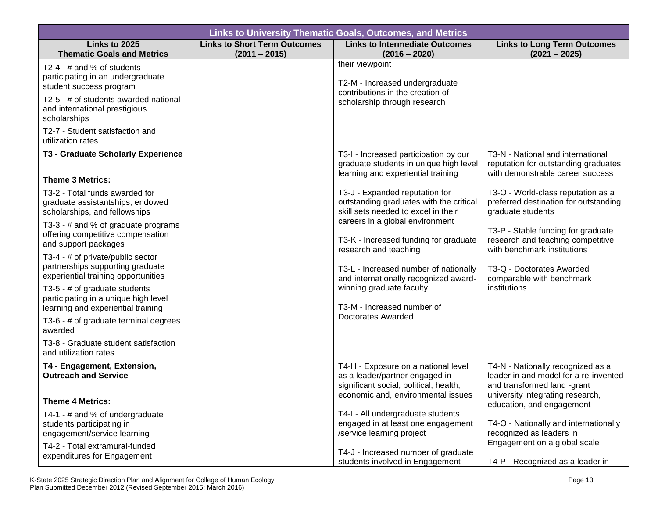| <b>Links to University Thematic Goals, Outcomes, and Metrics</b> |                                                                                                                                                                                                                                                                                                                                                                                                                                                                                                                  |                                                                                                                                                                                                                                                                                                                                                                                                       |  |  |  |
|------------------------------------------------------------------|------------------------------------------------------------------------------------------------------------------------------------------------------------------------------------------------------------------------------------------------------------------------------------------------------------------------------------------------------------------------------------------------------------------------------------------------------------------------------------------------------------------|-------------------------------------------------------------------------------------------------------------------------------------------------------------------------------------------------------------------------------------------------------------------------------------------------------------------------------------------------------------------------------------------------------|--|--|--|
| <b>Links to Short Term Outcomes</b><br>$(2011 - 2015)$           | <b>Links to Intermediate Outcomes</b><br>$(2016 - 2020)$                                                                                                                                                                                                                                                                                                                                                                                                                                                         | <b>Links to Long Term Outcomes</b><br>$(2021 - 2025)$                                                                                                                                                                                                                                                                                                                                                 |  |  |  |
|                                                                  | their viewpoint<br>T2-M - Increased undergraduate<br>contributions in the creation of<br>scholarship through research                                                                                                                                                                                                                                                                                                                                                                                            |                                                                                                                                                                                                                                                                                                                                                                                                       |  |  |  |
|                                                                  | T3-I - Increased participation by our<br>graduate students in unique high level<br>learning and experiential training<br>T3-J - Expanded reputation for<br>outstanding graduates with the critical<br>skill sets needed to excel in their<br>careers in a global environment<br>T3-K - Increased funding for graduate<br>research and teaching<br>T3-L - Increased number of nationally<br>and internationally recognized award-<br>winning graduate faculty<br>T3-M - Increased number of<br>Doctorates Awarded | T3-N - National and international<br>reputation for outstanding graduates<br>with demonstrable career success<br>T3-O - World-class reputation as a<br>preferred destination for outstanding<br>graduate students<br>T3-P - Stable funding for graduate<br>research and teaching competitive<br>with benchmark institutions<br>T3-Q - Doctorates Awarded<br>comparable with benchmark<br>institutions |  |  |  |
|                                                                  | T4-H - Exposure on a national level<br>as a leader/partner engaged in<br>significant social, political, health,<br>economic and, environmental issues<br>T4-I - All undergraduate students<br>engaged in at least one engagement<br>/service learning project<br>T4-J - Increased number of graduate                                                                                                                                                                                                             | T4-N - Nationally recognized as a<br>leader in and model for a re-invented<br>and transformed land -grant<br>university integrating research,<br>education, and engagement<br>T4-O - Nationally and internationally<br>recognized as leaders in<br>Engagement on a global scale<br>T4-P - Recognized as a leader in                                                                                   |  |  |  |
|                                                                  |                                                                                                                                                                                                                                                                                                                                                                                                                                                                                                                  | students involved in Engagement                                                                                                                                                                                                                                                                                                                                                                       |  |  |  |